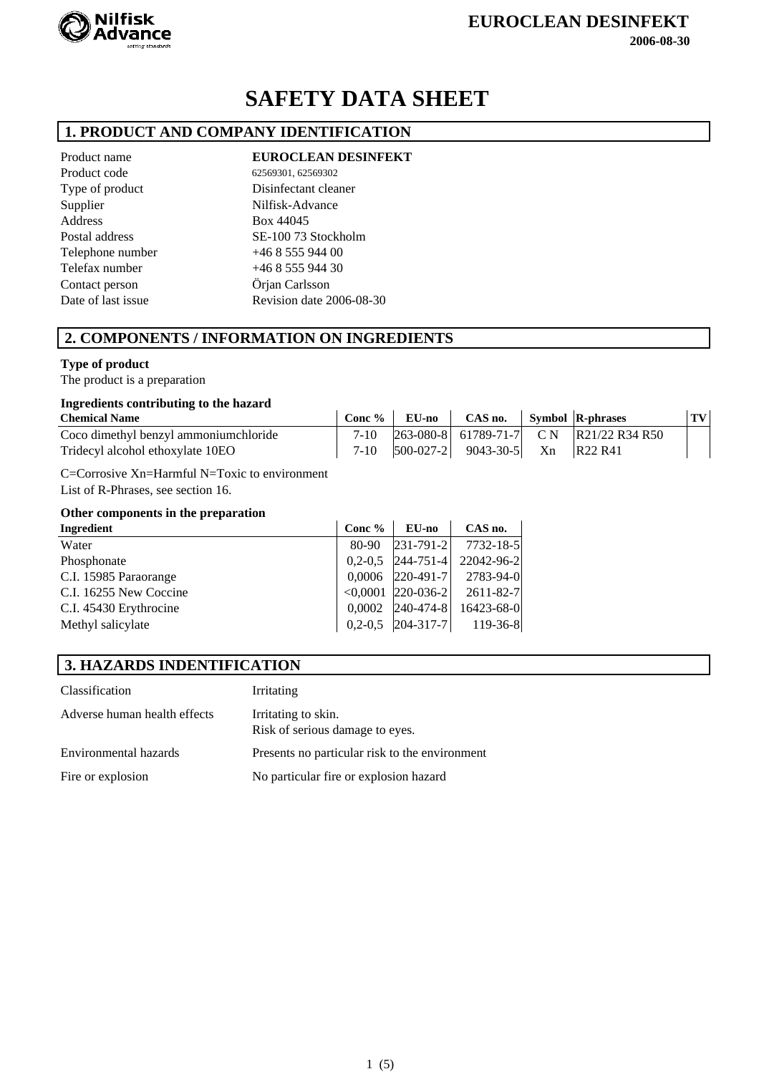

# **SAFETY DATA SHEET**

## **1. PRODUCT AND COMPANY IDENTIFICATION**

Product code 62569301, 62569302 Address Box 44045 Telephone number +46 8 555 944 00 Telefax number +46 8 555 944 30 Contact person Örjan Carlsson Supplier

Product name **EUROCLEAN DESINFEKT** 

Type of product Disinfectant cleaner Nilfisk-Advance Postal address SE-100 73 Stockholm Date of last issue Revision date 2006-08-30

## **2. COMPONENTS / INFORMATION ON INGREDIENTS**

#### **Type of product**

The product is a preparation

#### **Ingredients contributing to the hazard**

| <b>Chemical Name</b>                   |  | $\overline{\phantom{a}}$ Conc % $\overline{\phantom{a}}$ EU-no $\overline{\phantom{a}}$ CAS no. Symbol R-phrases |                                                    | TV |
|----------------------------------------|--|------------------------------------------------------------------------------------------------------------------|----------------------------------------------------|----|
| Coco dimethyl benzyl ammonium chloride |  |                                                                                                                  | 7-10 $ 263-080-8 $ 61789-71-7 CN $ R21/22 R34 R50$ |    |
| Tridecyl alcohol ethoxylate 10EO       |  | 7-10 $ 500-027-2 $ 9043-30-5 Xn R22 R41                                                                          |                                                    |    |

C=Corrosive Xn=Harmful N=Toxic to environment List of R-Phrases, see section 16.

#### **Other components in the preparation**

| Ingredient             | Conc $%$ | <b>EU-no</b>        | CAS no.                                                        |
|------------------------|----------|---------------------|----------------------------------------------------------------|
| Water                  | 80-90    | $ 231-791-2 $       | 7732-18-5                                                      |
| Phosphonate            |          | $0,2-0,5$ 244-751-4 | 22042-96-2                                                     |
| C.I. 15985 Paraorange  |          |                     | $0,0006$  220-491-7  2783-94-0                                 |
| C.I. 16255 New Coccine |          |                     | $\langle 0,0001 \vert 220 - 036 - 2 \vert 2611 - 82 - 7 \vert$ |
| C.I. 45430 Erythrocine |          | $0,0002$  240-474-8 | 16423-68-0                                                     |
| Methyl salicylate      |          |                     | $0,2-0,5$  204-317-7  119-36-8                                 |

#### **3. HAZARDS INDENTIFICATION**

| Classification               | Irritating                                             |
|------------------------------|--------------------------------------------------------|
| Adverse human health effects | Irritating to skin.<br>Risk of serious damage to eyes. |
| Environmental hazards        | Presents no particular risk to the environment         |
| Fire or explosion            | No particular fire or explosion hazard                 |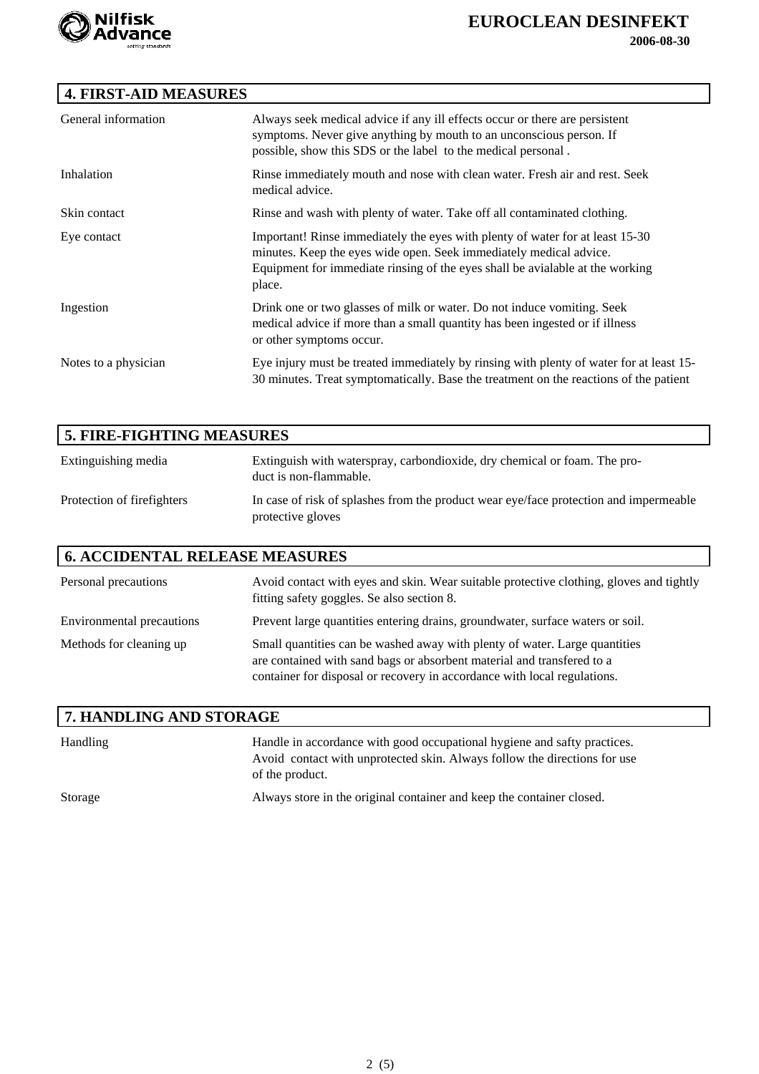

# **EUROCLEAN DESINFEKT**

 **2006-08-30**

# **4. FIRST-AID MEASURES**

| General information  | Always seek medical advice if any ill effects occur or there are persistent<br>symptoms. Never give anything by mouth to an unconscious person. If<br>possible, show this SDS or the label to the medical personal.                            |
|----------------------|------------------------------------------------------------------------------------------------------------------------------------------------------------------------------------------------------------------------------------------------|
| Inhalation           | Rinse immediately mouth and nose with clean water. Fresh air and rest. Seek<br>medical advice.                                                                                                                                                 |
| Skin contact         | Rinse and wash with plenty of water. Take off all contaminated clothing.                                                                                                                                                                       |
| Eye contact          | Important! Rinse immediately the eyes with plenty of water for at least 15-30<br>minutes. Keep the eyes wide open. Seek immediately medical advice.<br>Equipment for immediate rinsing of the eyes shall be avialable at the working<br>place. |
| Ingestion            | Drink one or two glasses of milk or water. Do not induce vomiting. Seek<br>medical advice if more than a small quantity has been ingested or if illness<br>or other symptoms occur.                                                            |
| Notes to a physician | Eye injury must be treated immediately by rinsing with plenty of water for at least 15-<br>30 minutes. Treat symptomatically. Base the treatment on the reactions of the patient                                                               |

| <b>5. FIRE-FIGHTING MEASURES</b> |                                                                                                            |
|----------------------------------|------------------------------------------------------------------------------------------------------------|
| Extinguishing media              | Extinguish with waterspray, carbondioxide, dry chemical or foam. The pro-<br>duct is non-flammable.        |
| Protection of firefighters       | In case of risk of splashes from the product wear eye/face protection and impermeable<br>protective gloves |

## **6. ACCIDENTAL RELEASE MEASURES**

| Personal precautions      | Avoid contact with eyes and skin. Wear suitable protective clothing, gloves and tightly<br>fitting safety goggles. Se also section 8.                                                                                            |
|---------------------------|----------------------------------------------------------------------------------------------------------------------------------------------------------------------------------------------------------------------------------|
| Environmental precautions | Prevent large quantities entering drains, groundwater, surface waters or soil.                                                                                                                                                   |
| Methods for cleaning up   | Small quantities can be washed away with plenty of water. Large quantities<br>are contained with sand bags or absorbent material and transfered to a<br>container for disposal or recovery in accordance with local regulations. |

| <b>7. HANDLING AND STORAGE</b> |                                                                                                                                                                          |
|--------------------------------|--------------------------------------------------------------------------------------------------------------------------------------------------------------------------|
| Handling                       | Handle in accordance with good occupational hygiene and safty practices.<br>Avoid contact with unprotected skin. Always follow the directions for use<br>of the product. |
| Storage                        | Always store in the original container and keep the container closed.                                                                                                    |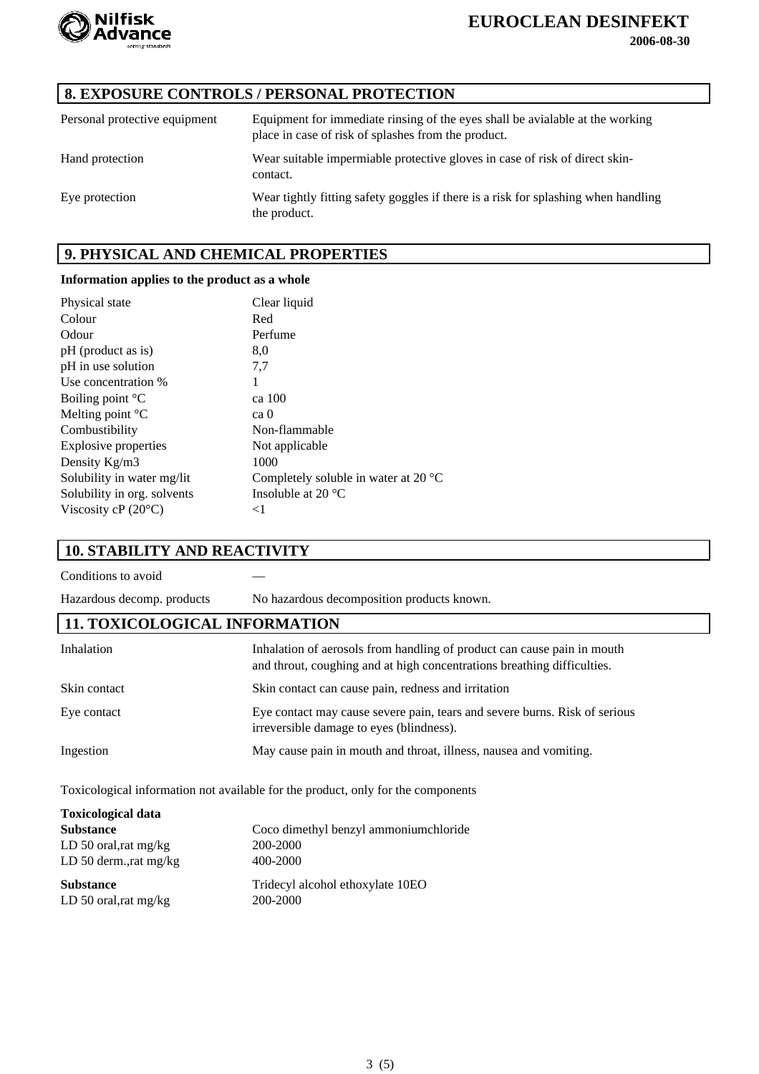

# **EUROCLEAN DESINFEKT**

 **2006-08-30**

# **8. EXPOSURE CONTROLS / PERSONAL PROTECTION**

| Personal protective equipment | Equipment for immediate rinsing of the eyes shall be avialable at the working<br>place in case of risk of splashes from the product. |
|-------------------------------|--------------------------------------------------------------------------------------------------------------------------------------|
| Hand protection               | Wear suitable impermiable protective gloves in case of risk of direct skin-<br>contact.                                              |
| Eye protection                | Wear tightly fitting safety goggles if there is a risk for splashing when handling<br>the product.                                   |

#### **9. PHYSICAL AND CHEMICAL PROPERTIES**

#### **Information applies to the product as a whole**

| Clear liquid                                   |
|------------------------------------------------|
| Red                                            |
| Perfume                                        |
| 8,0                                            |
| 7,7                                            |
| 1                                              |
| ca 100                                         |
| ca 0                                           |
| Non-flammable                                  |
| Not applicable                                 |
| 1000                                           |
| Completely soluble in water at 20 $^{\circ}$ C |
| Insoluble at 20 $\degree$ C                    |
| $<$ 1                                          |
|                                                |

#### **10. STABILITY AND REACTIVITY**

Conditions to avoid —

Hazardous decomp. products No hazardous decomposition products known.

#### **11. TOXICOLOGICAL INFORMATION**

| Inhalation   | Inhalation of aerosols from handling of product can cause pain in mouth<br>and throut, coughing and at high concentrations breathing difficulties. |
|--------------|----------------------------------------------------------------------------------------------------------------------------------------------------|
| Skin contact | Skin contact can cause pain, redness and irritation                                                                                                |
| Eye contact  | Eye contact may cause severe pain, tears and severe burns. Risk of serious<br>irreversible damage to eyes (blindness).                             |
| Ingestion    | May cause pain in mouth and throat, illness, nausea and vomiting.                                                                                  |

Toxicological information not available for the product, only for the components

| <b>Toxicological data</b> |                                       |
|---------------------------|---------------------------------------|
| <b>Substance</b>          | Coco dimethyl benzyl ammoniumchloride |
| LD 50 oral, rat $mg/kg$   | 200-2000                              |
| LD 50 derm., rat $mg/kg$  | 400-2000                              |
| <b>Substance</b>          | Tridecyl alcohol ethoxylate 10EO      |
| LD 50 oral, rat $mg/kg$   | 200-2000                              |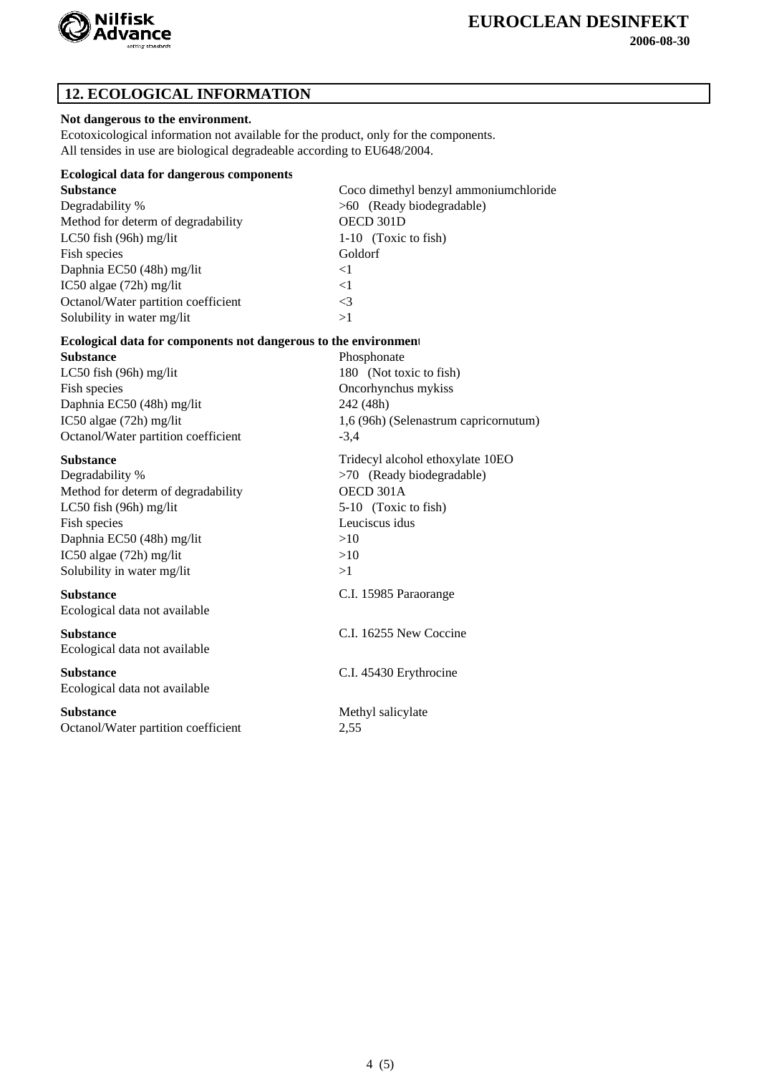

 **2006-08-30**

# **12. ECOLOGICAL INFORMATION**

#### **Not dangerous to the environment.**

Ecotoxicological information not available for the product, only for the components. All tensides in use are biological degradeable according to EU648/2004.

| <b>Ecological data for dangerous components</b>                 |                                       |
|-----------------------------------------------------------------|---------------------------------------|
| <b>Substance</b>                                                | Coco dimethyl benzyl ammoniumchloride |
| Degradability %                                                 | >60 (Ready biodegradable)             |
| Method for determ of degradability                              | OECD 301D                             |
| LC50 fish (96h) mg/lit                                          | 1-10 (Toxic to fish)                  |
| Fish species                                                    | Goldorf                               |
| Daphnia EC50 (48h) mg/lit                                       | $\leq$ 1                              |
| IC50 algae (72h) mg/lit                                         | <1                                    |
| Octanol/Water partition coefficient                             | $\leq$ 3                              |
| Solubility in water mg/lit                                      | >1                                    |
| Ecological data for components not dangerous to the environment |                                       |
| <b>Substance</b>                                                | Phosphonate                           |
| LC50 fish (96h) mg/lit                                          | 180 (Not toxic to fish)               |
| Fish species                                                    | Oncorhynchus mykiss                   |
| Daphnia EC50 (48h) mg/lit                                       | 242 (48h)                             |
| IC50 algae (72h) mg/lit                                         | 1,6 (96h) (Selenastrum capricornutum) |
| Octanol/Water partition coefficient                             | $-3,4$                                |
|                                                                 |                                       |
|                                                                 |                                       |
| <b>Substance</b>                                                | Tridecyl alcohol ethoxylate 10EO      |
| Degradability %                                                 | >70 (Ready biodegradable)             |
| Method for determ of degradability                              | OECD 301A                             |
| LC50 fish (96h) mg/lit                                          | 5-10 (Toxic to fish)                  |
| Fish species                                                    | Leuciscus idus                        |
| Daphnia EC50 (48h) mg/lit                                       | >10                                   |
| IC50 algae (72h) mg/lit                                         | >10<br>>1                             |
| Solubility in water mg/lit                                      |                                       |
| <b>Substance</b>                                                | C.I. 15985 Paraorange                 |
| Ecological data not available                                   |                                       |
| <b>Substance</b>                                                | C.I. 16255 New Coccine                |
| Ecological data not available                                   |                                       |
| <b>Substance</b>                                                | C.I. 45430 Erythrocine                |
| Ecological data not available                                   |                                       |
| <b>Substance</b>                                                | Methyl salicylate                     |